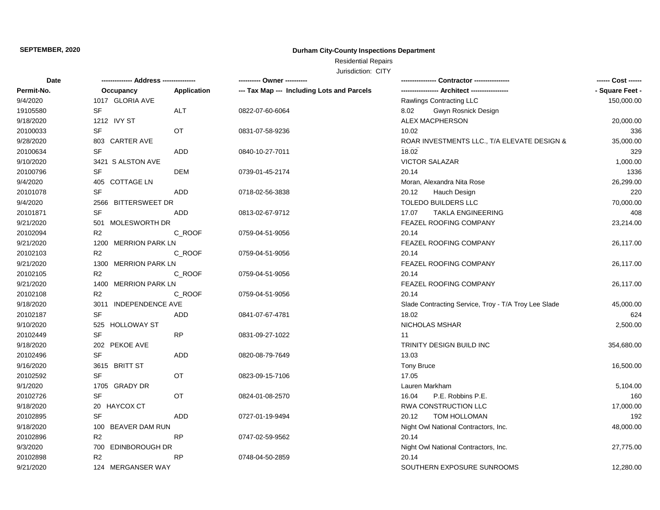# **Durham City-County Inspections Department**

Residential Repairs

| Date       |                       |             | --------- Owner ----------                 |                                                      | ------ Cost ------ |
|------------|-----------------------|-------------|--------------------------------------------|------------------------------------------------------|--------------------|
| Permit-No. | Occupancy             | Application | --- Tax Map --- Including Lots and Parcels | ---------------- Architect ----------------          | - Square Feet -    |
| 9/4/2020   | 1017 GLORIA AVE       |             |                                            | Rawlings Contracting LLC                             | 150,000.00         |
| 19105580   | <b>SF</b>             | ALT         | 0822-07-60-6064                            | Gwyn Rosnick Design<br>8.02                          |                    |
| 9/18/2020  | 1212 IVY ST           |             |                                            | <b>ALEX MACPHERSON</b>                               | 20,000.00          |
| 20100033   | <b>SF</b>             | OT          | 0831-07-58-9236                            | 10.02                                                | 336                |
| 9/28/2020  | 803 CARTER AVE        |             |                                            | ROAR INVESTMENTS LLC., T/A ELEVATE DESIGN &          | 35,000.00          |
| 20100634   | <b>SF</b>             | ADD         | 0840-10-27-7011                            | 18.02                                                | 329                |
| 9/10/2020  | 3421 S ALSTON AVE     |             |                                            | <b>VICTOR SALAZAR</b>                                | 1,000.00           |
| 20100796   | <b>SF</b>             | DEM         | 0739-01-45-2174                            | 20.14                                                | 1336               |
| 9/4/2020   | 405 COTTAGE LN        |             |                                            | Moran, Alexandra Nita Rose                           | 26,299.00          |
| 20101078   | <b>SF</b>             | ADD         | 0718-02-56-3838                            | 20.12<br>Hauch Design                                | 220                |
| 9/4/2020   | 2566 BITTERSWEET DR   |             |                                            | <b>TOLEDO BUILDERS LLC</b>                           | 70,000.00          |
| 20101871   | <b>SF</b>             | <b>ADD</b>  | 0813-02-67-9712                            | 17.07<br><b>TAKLA ENGINEERING</b>                    | 408                |
| 9/21/2020  | 501 MOLESWORTH DR     |             |                                            | FEAZEL ROOFING COMPANY                               | 23,214.00          |
| 20102094   | R <sub>2</sub>        | C_ROOF      | 0759-04-51-9056                            | 20.14                                                |                    |
| 9/21/2020  | 1200 MERRION PARK LN  |             |                                            | FEAZEL ROOFING COMPANY                               | 26,117.00          |
| 20102103   | R <sub>2</sub>        | C_ROOF      | 0759-04-51-9056                            | 20.14                                                |                    |
| 9/21/2020  | 1300 MERRION PARK LN  |             |                                            | FEAZEL ROOFING COMPANY                               | 26,117.00          |
| 20102105   | R <sub>2</sub>        | C_ROOF      | 0759-04-51-9056                            | 20.14                                                |                    |
| 9/21/2020  | 1400 MERRION PARK LN  |             |                                            | FEAZEL ROOFING COMPANY                               | 26,117.00          |
| 20102108   | R <sub>2</sub>        | C_ROOF      | 0759-04-51-9056                            | 20.14                                                |                    |
| 9/18/2020  | 3011 INDEPENDENCE AVE |             |                                            | Slade Contracting Service, Troy - T/A Troy Lee Slade | 45,000.00          |
| 20102187   | SF                    | ADD         | 0841-07-67-4781                            | 18.02                                                | 624                |
| 9/10/2020  | 525 HOLLOWAY ST       |             |                                            | NICHOLAS MSHAR                                       | 2,500.00           |
| 20102449   | <b>SF</b>             | <b>RP</b>   | 0831-09-27-1022                            | 11                                                   |                    |
| 9/18/2020  | 202 PEKOE AVE         |             |                                            | TRINITY DESIGN BUILD INC                             | 354,680.00         |
| 20102496   | <b>SF</b>             | <b>ADD</b>  | 0820-08-79-7649                            | 13.03                                                |                    |
| 9/16/2020  | 3615 BRITT ST         |             |                                            | <b>Tony Bruce</b>                                    | 16,500.00          |
| 20102592   | <b>SF</b>             | <b>OT</b>   | 0823-09-15-7106                            | 17.05                                                |                    |
| 9/1/2020   | 1705 GRADY DR         |             |                                            | Lauren Markham                                       | 5,104.00           |
| 20102726   | <b>SF</b>             | OT          | 0824-01-08-2570                            | P.E. Robbins P.E.<br>16.04                           | 160                |
| 9/18/2020  | 20 HAYCOX CT          |             |                                            | RWA CONSTRUCTION LLC                                 | 17,000.00          |
| 20102895   | <b>SF</b>             | <b>ADD</b>  | 0727-01-19-9494                            | TOM HOLLOMAN<br>20.12                                | 192                |
| 9/18/2020  | 100 BEAVER DAM RUN    |             |                                            | Night Owl National Contractors, Inc.                 | 48,000.00          |
| 20102896   | R <sub>2</sub>        | <b>RP</b>   | 0747-02-59-9562                            | 20.14                                                |                    |
| 9/3/2020   | 700 EDINBOROUGH DR    |             |                                            | Night Owl National Contractors, Inc.                 | 27,775.00          |
| 20102898   | R <sub>2</sub>        | <b>RP</b>   | 0748-04-50-2859                            | 20.14                                                |                    |
| 9/21/2020  | 124 MERGANSER WAY     |             |                                            | SOUTHERN EXPOSURE SUNROOMS                           | 12,280.00          |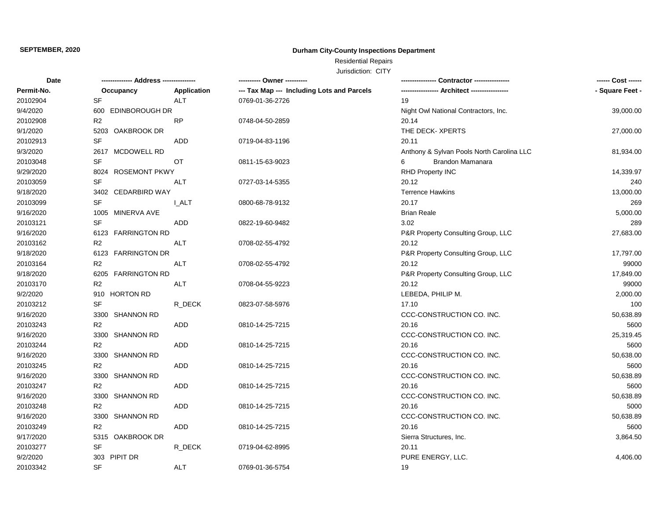# **Durham City-County Inspections Department**

Residential Repairs

| Date       | -------------- Address --------------- |              |                                            | Contractor ---------------                | ------ Cost ------ |
|------------|----------------------------------------|--------------|--------------------------------------------|-------------------------------------------|--------------------|
| Permit-No. | Occupancy                              | Application  | --- Tax Map --- Including Lots and Parcels |                                           | - Square Feet -    |
| 20102904   | <b>SF</b>                              | <b>ALT</b>   | 0769-01-36-2726                            | 19                                        |                    |
| 9/4/2020   | <b>EDINBOROUGH DR</b><br>600           |              |                                            | Night Owl National Contractors, Inc.      | 39,000.00          |
| 20102908   | R <sub>2</sub>                         | RP           | 0748-04-50-2859                            | 20.14                                     |                    |
| 9/1/2020   | 5203<br>OAKBROOK DR                    |              |                                            | THE DECK-XPERTS                           | 27,000.00          |
| 20102913   | <b>SF</b>                              | <b>ADD</b>   | 0719-04-83-1196                            | 20.11                                     |                    |
| 9/3/2020   | 2617 MCDOWELL RD                       |              |                                            | Anthony & Sylvan Pools North Carolina LLC | 81,934.00          |
| 20103048   | SF                                     | OT           | 0811-15-63-9023                            | Brandon Mamanara<br>6                     |                    |
| 9/29/2020  | 8024 ROSEMONT PKWY                     |              |                                            | RHD Property INC                          | 14,339.97          |
| 20103059   | <b>SF</b>                              | <b>ALT</b>   | 0727-03-14-5355                            | 20.12                                     | 240                |
| 9/18/2020  | 3402 CEDARBIRD WAY                     |              |                                            | <b>Terrence Hawkins</b>                   | 13,000.00          |
| 20103099   | SF                                     | <b>I_ALT</b> | 0800-68-78-9132                            | 20.17                                     | 269                |
| 9/16/2020  | 1005 MINERVA AVE                       |              |                                            | <b>Brian Reale</b>                        | 5,000.00           |
| 20103121   | SF                                     | ADD          | 0822-19-60-9482                            | 3.02                                      | 289                |
| 9/16/2020  | 6123 FARRINGTON RD                     |              |                                            | P&R Property Consulting Group, LLC        | 27,683.00          |
| 20103162   | R <sub>2</sub>                         | <b>ALT</b>   | 0708-02-55-4792                            | 20.12                                     |                    |
| 9/18/2020  | 6123 FARRINGTON DR                     |              |                                            | P&R Property Consulting Group, LLC        | 17,797.00          |
| 20103164   | R <sub>2</sub>                         | <b>ALT</b>   | 0708-02-55-4792                            | 20.12                                     | 99000              |
| 9/18/2020  | 6205 FARRINGTON RD                     |              |                                            | P&R Property Consulting Group, LLC        | 17,849.00          |
| 20103170   | R <sub>2</sub>                         | ALT          | 0708-04-55-9223                            | 20.12                                     | 99000              |
| 9/2/2020   | 910 HORTON RD                          |              |                                            | LEBEDA, PHILIP M.                         | 2,000.00           |
| 20103212   | <b>SF</b>                              | R_DECK       | 0823-07-58-5976                            | 17.10                                     | 100                |
| 9/16/2020  | 3300 SHANNON RD                        |              |                                            | CCC-CONSTRUCTION CO. INC.                 | 50,638.89          |
| 20103243   | R <sub>2</sub>                         | ADD          | 0810-14-25-7215                            | 20.16                                     | 5600               |
| 9/16/2020  | 3300 SHANNON RD                        |              |                                            | CCC-CONSTRUCTION CO. INC.                 | 25,319.45          |
| 20103244   | R2                                     | ADD          | 0810-14-25-7215                            | 20.16                                     | 5600               |
| 9/16/2020  | 3300 SHANNON RD                        |              |                                            | CCC-CONSTRUCTION CO. INC.                 | 50,638.00          |
| 20103245   | R <sub>2</sub>                         | ADD          | 0810-14-25-7215                            | 20.16                                     | 5600               |
| 9/16/2020  | 3300 SHANNON RD                        |              |                                            | CCC-CONSTRUCTION CO. INC.                 | 50,638.89          |
| 20103247   | R2                                     | ADD          | 0810-14-25-7215                            | 20.16                                     | 5600               |
| 9/16/2020  | 3300 SHANNON RD                        |              |                                            | CCC-CONSTRUCTION CO. INC.                 | 50,638.89          |
| 20103248   | R <sub>2</sub>                         | ADD          | 0810-14-25-7215                            | 20.16                                     | 5000               |
| 9/16/2020  | 3300 SHANNON RD                        |              |                                            | CCC-CONSTRUCTION CO. INC.                 | 50,638.89          |
| 20103249   | R <sub>2</sub>                         | ADD          | 0810-14-25-7215                            | 20.16                                     | 5600               |
| 9/17/2020  | 5315 OAKBROOK DR                       |              |                                            | Sierra Structures, Inc.                   | 3,864.50           |
| 20103277   | <b>SF</b>                              | R_DECK       | 0719-04-62-8995                            | 20.11                                     |                    |
| 9/2/2020   | 303 PIPIT DR                           |              |                                            | PURE ENERGY, LLC.                         | 4,406.00           |
| 20103342   | <b>SF</b>                              | <b>ALT</b>   | 0769-01-36-5754                            | 19                                        |                    |
|            |                                        |              |                                            |                                           |                    |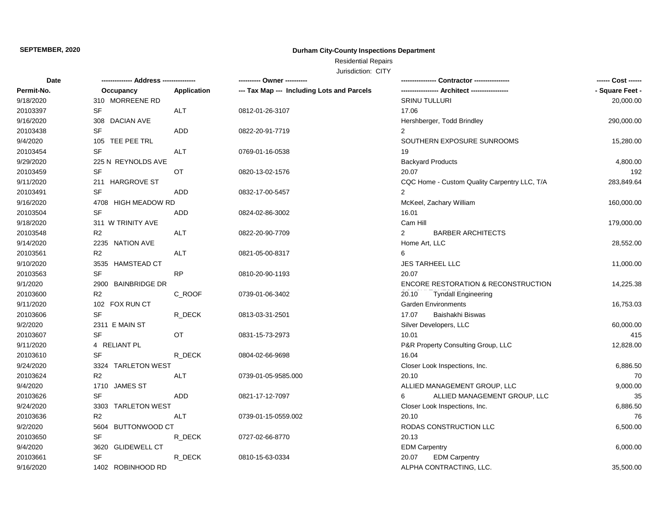# **Durham City-County Inspections Department**

Residential Repairs

| Date       |                              |             | ---------- Owner ----------                |                                              | ------ Cost ------ |
|------------|------------------------------|-------------|--------------------------------------------|----------------------------------------------|--------------------|
| Permit-No. | Occupancy                    | Application | --- Tax Map --- Including Lots and Parcels | -- Architect ----------------                | - Square Feet -    |
| 9/18/2020  | 310 MORREENE RD              |             |                                            | <b>SRINU TULLURI</b>                         | 20,000.00          |
| 20103397   | <b>SF</b>                    | <b>ALT</b>  | 0812-01-26-3107                            | 17.06                                        |                    |
| 9/16/2020  | 308 DACIAN AVE               |             |                                            | Hershberger, Todd Brindley                   | 290,000.00         |
| 20103438   | SF                           | ADD         | 0822-20-91-7719                            | $\overline{2}$                               |                    |
| 9/4/2020   | 105 TEE PEE TRL              |             |                                            | SOUTHERN EXPOSURE SUNROOMS                   | 15,280.00          |
| 20103454   | SF                           | <b>ALT</b>  | 0769-01-16-0538                            | 19                                           |                    |
| 9/29/2020  | 225 N REYNOLDS AVE           |             |                                            | <b>Backyard Products</b>                     | 4,800.00           |
| 20103459   | <b>SF</b>                    | OT          | 0820-13-02-1576                            | 20.07                                        | 192                |
| 9/11/2020  | 211 HARGROVE ST              |             |                                            | CQC Home - Custom Quality Carpentry LLC, T/A | 283,849.64         |
| 20103491   | <b>SF</b>                    | <b>ADD</b>  | 0832-17-00-5457                            | $\overline{2}$                               |                    |
| 9/16/2020  | 4708 HIGH MEADOW RD          |             |                                            | McKeel, Zachary William                      | 160,000.00         |
| 20103504   | <b>SF</b>                    | <b>ADD</b>  | 0824-02-86-3002                            | 16.01                                        |                    |
| 9/18/2020  | 311 W TRINITY AVE            |             |                                            | Cam Hill                                     | 179,000.00         |
| 20103548   | R <sub>2</sub>               | <b>ALT</b>  | 0822-20-90-7709                            | <b>BARBER ARCHITECTS</b><br>$\overline{2}$   |                    |
| 9/14/2020  | 2235 NATION AVE              |             |                                            | Home Art, LLC                                | 28,552.00          |
| 20103561   | R <sub>2</sub>               | ALT         | 0821-05-00-8317                            | 6                                            |                    |
| 9/10/2020  | 3535 HAMSTEAD CT             |             |                                            | <b>JES TARHEEL LLC</b>                       | 11,000.00          |
| 20103563   | <b>SF</b>                    | <b>RP</b>   | 0810-20-90-1193                            | 20.07                                        |                    |
| 9/1/2020   | 2900 BAINBRIDGE DR           |             |                                            | ENCORE RESTORATION & RECONSTRUCTION          | 14,225.38          |
| 20103600   | R <sub>2</sub>               | C_ROOF      | 0739-01-06-3402                            | 20.10<br><b>Tyndall Engineering</b>          |                    |
| 9/11/2020  | 102 FOX RUN CT               |             |                                            | <b>Garden Environments</b>                   | 16,753.03          |
| 20103606   | <b>SF</b>                    | R_DECK      | 0813-03-31-2501                            | 17.07<br>Baishakhi Biswas                    |                    |
| 9/2/2020   | 2311 E MAIN ST               |             |                                            | Silver Developers, LLC                       | 60,000.00          |
| 20103607   | <b>SF</b>                    | OT          | 0831-15-73-2973                            | 10.01                                        | 415                |
| 9/11/2020  | 4 RELIANT PL                 |             |                                            | P&R Property Consulting Group, LLC           | 12,828.00          |
| 20103610   | <b>SF</b>                    | R DECK      | 0804-02-66-9698                            | 16.04                                        |                    |
| 9/24/2020  | 3324 TARLETON WEST           |             |                                            | Closer Look Inspections, Inc.                | 6,886.50           |
| 20103624   | R <sub>2</sub>               | ALT         | 0739-01-05-9585.000                        | 20.10                                        | 70                 |
| 9/4/2020   | <b>JAMES ST</b><br>1710      |             |                                            | ALLIED MANAGEMENT GROUP, LLC                 | 9,000.00           |
| 20103626   | <b>SF</b>                    | <b>ADD</b>  | 0821-17-12-7097                            | ALLIED MANAGEMENT GROUP, LLC<br>6            | 35                 |
| 9/24/2020  | <b>TARLETON WEST</b><br>3303 |             |                                            | Closer Look Inspections, Inc.                | 6,886.50           |
| 20103636   | R <sub>2</sub>               | <b>ALT</b>  | 0739-01-15-0559.002                        | 20.10                                        | 76                 |
| 9/2/2020   | <b>BUTTONWOOD CT</b><br>5604 |             |                                            | RODAS CONSTRUCTION LLC                       | 6,500.00           |
| 20103650   | <b>SF</b>                    | R_DECK      | 0727-02-66-8770                            | 20.13                                        |                    |
| 9/4/2020   | 3620<br><b>GLIDEWELL CT</b>  |             |                                            | <b>EDM Carpentry</b>                         | 6,000.00           |
| 20103661   | <b>SF</b>                    | R_DECK      | 0810-15-63-0334                            | 20.07<br><b>EDM Carpentry</b>                |                    |
| 9/16/2020  | 1402 ROBINHOOD RD            |             |                                            | ALPHA CONTRACTING, LLC.                      | 35,500.00          |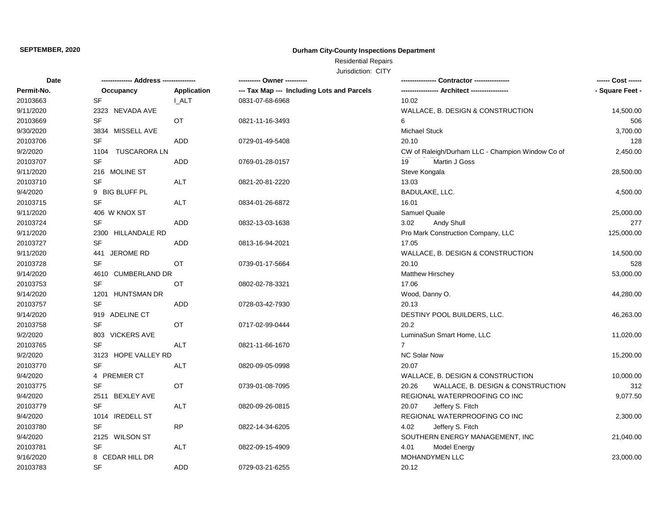# **Durham City-County Inspections Department**

Residential Repairs

| Date       |                                   |              | ---------- Owner ----------                | Contractor ----------------                      | ------ Cost ------ |
|------------|-----------------------------------|--------------|--------------------------------------------|--------------------------------------------------|--------------------|
| Permit-No. | Occupancy                         | Application  | --- Tax Map --- Including Lots and Parcels |                                                  | - Square Feet -    |
| 20103663   | <b>SF</b>                         | <b>I_ALT</b> | 0831-07-68-6968                            | 10.02                                            |                    |
| 9/11/2020  | 2323 NEVADA AVE                   |              |                                            | WALLACE, B. DESIGN & CONSTRUCTION                | 14,500.00          |
| 20103669   | SF                                | OT           | 0821-11-16-3493                            | 6                                                | 506                |
| 9/30/2020  | 3834 MISSELL AVE                  |              |                                            | <b>Michael Stuck</b>                             | 3,700.00           |
| 20103706   | <b>SF</b>                         | <b>ADD</b>   | 0729-01-49-5408                            | 20.10                                            | 128                |
| 9/2/2020   | <b>TUSCARORA LN</b><br>1104       |              |                                            | CW of Raleigh/Durham LLC - Champion Window Co of | 2,450.00           |
| 20103707   | $\ensuremath{\mathsf{SF}}\xspace$ | <b>ADD</b>   | 0769-01-28-0157                            | Martin J Goss<br>19                              |                    |
| 9/11/2020  | 216 MOLINE ST                     |              |                                            | Steve Kongala                                    | 28,500.00          |
| 20103710   | <b>SF</b>                         | <b>ALT</b>   | 0821-20-81-2220                            | 13.03                                            |                    |
| 9/4/2020   | 9 BIG BLUFF PL                    |              |                                            | BADULAKE, LLC.                                   | 4,500.00           |
| 20103715   | <b>SF</b>                         | <b>ALT</b>   | 0834-01-26-6872                            | 16.01                                            |                    |
| 9/11/2020  | 406 W KNOX ST                     |              |                                            | Samuel Quaile                                    | 25,000.00          |
| 20103724   | SF                                | ADD          | 0832-13-03-1638                            | 3.02<br>Andy Shull                               | 277                |
| 9/11/2020  | 2300 HILLANDALE RD                |              |                                            | Pro Mark Construction Company, LLC               | 125,000.00         |
| 20103727   | <b>SF</b>                         | ADD          | 0813-16-94-2021                            | 17.05                                            |                    |
| 9/11/2020  | JEROME RD<br>441                  |              |                                            | WALLACE, B. DESIGN & CONSTRUCTION                | 14,500.00          |
| 20103728   | <b>SF</b>                         | OT           | 0739-01-17-5664                            | 20.10                                            | 528                |
| 9/14/2020  | 4610 CUMBERLAND DR                |              |                                            | Matthew Hirschey                                 | 53,000.00          |
| 20103753   | <b>SF</b>                         | OT           | 0802-02-78-3321                            | 17.06                                            |                    |
| 9/14/2020  | 1201 HUNTSMAN DR                  |              |                                            | Wood, Danny O.                                   | 44,280.00          |
| 20103757   | SF                                | <b>ADD</b>   | 0728-03-42-7930                            | 20.13                                            |                    |
| 9/14/2020  | 919 ADELINE CT                    |              |                                            | DESTINY POOL BUILDERS, LLC.                      | 46,263.00          |
| 20103758   | <b>SF</b>                         | OT           | 0717-02-99-0444                            | 20.2                                             |                    |
| 9/2/2020   | 803 VICKERS AVE                   |              |                                            | LuminaSun Smart Home, LLC                        | 11,020.00          |
| 20103765   | <b>SF</b>                         | ALT          | 0821-11-66-1670                            | $\overline{7}$                                   |                    |
| 9/2/2020   | 3123 HOPE VALLEY RD               |              |                                            | <b>NC Solar Now</b>                              | 15,200.00          |
| 20103770   | <b>SF</b>                         | ALT          | 0820-09-05-0998                            | 20.07                                            |                    |
| 9/4/2020   | 4 PREMIER CT                      |              |                                            | WALLACE, B. DESIGN & CONSTRUCTION                | 10,000.00          |
| 20103775   | <b>SF</b>                         | OT           | 0739-01-08-7095                            | 20.26<br>WALLACE, B. DESIGN & CONSTRUCTION       | 312                |
| 9/4/2020   | 2511 BEXLEY AVE                   |              |                                            | REGIONAL WATERPROOFING CO INC                    | 9,077.50           |
| 20103779   | SF                                | ALT          | 0820-09-26-0815                            | 20.07<br>Jeffery S. Fitch                        |                    |
| 9/4/2020   | 1014 IREDELL ST                   |              |                                            | REGIONAL WATERPROOFING CO INC                    | 2,300.00           |
| 20103780   | <b>SF</b>                         | <b>RP</b>    | 0822-14-34-6205                            | 4.02<br>Jeffery S. Fitch                         |                    |
| 9/4/2020   | 2125 WILSON ST                    |              |                                            | SOUTHERN ENERGY MANAGEMENT, INC                  | 21,040.00          |
| 20103781   | SF                                | ALT          | 0822-09-15-4909                            | 4.01<br><b>Model Energy</b>                      |                    |
| 9/16/2020  | 8 CEDAR HILL DR                   |              |                                            | MOHANDYMEN LLC                                   | 23,000.00          |
| 20103783   | <b>SF</b>                         | <b>ADD</b>   | 0729-03-21-6255                            | 20.12                                            |                    |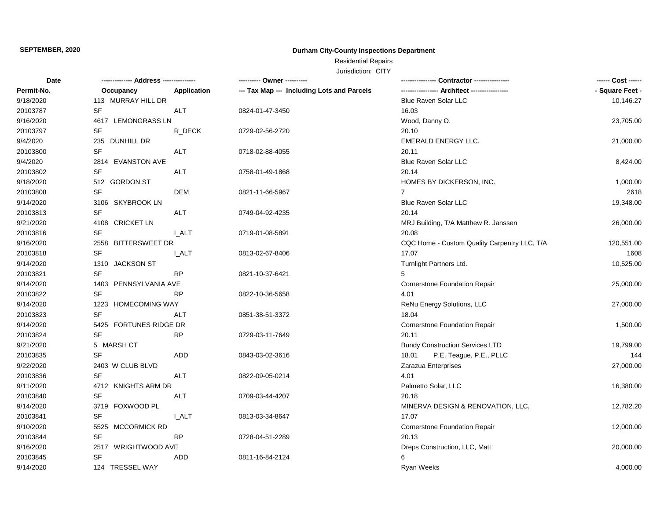# **Durham City-County Inspections Department**

Residential Repairs

| Date       |                        |              | ---------- Owner ----------                | Contractor ---------------                   | ------ Cost ------ |
|------------|------------------------|--------------|--------------------------------------------|----------------------------------------------|--------------------|
| Permit-No. | Occupancy              | Application  | --- Tax Map --- Including Lots and Parcels | -- Architect ----------------                | - Square Feet -    |
| 9/18/2020  | 113 MURRAY HILL DR     |              |                                            | <b>Blue Raven Solar LLC</b>                  | 10,146.27          |
| 20103787   | <b>SF</b>              | ALT          | 0824-01-47-3450                            | 16.03                                        |                    |
| 9/16/2020  | 4617 LEMONGRASS LN     |              |                                            | Wood, Danny O.                               | 23,705.00          |
| 20103797   | SF                     | R_DECK       | 0729-02-56-2720                            | 20.10                                        |                    |
| 9/4/2020   | 235 DUNHILL DR         |              |                                            | EMERALD ENERGY LLC.                          | 21,000.00          |
| 20103800   | <b>SF</b>              | ALT          | 0718-02-88-4055                            | 20.11                                        |                    |
| 9/4/2020   | 2814 EVANSTON AVE      |              |                                            | Blue Raven Solar LLC                         | 8,424.00           |
| 20103802   | SF                     | ALT          | 0758-01-49-1868                            | 20.14                                        |                    |
| 9/18/2020  | 512 GORDON ST          |              |                                            | HOMES BY DICKERSON, INC.                     | 1,000.00           |
| 20103808   | SF                     | <b>DEM</b>   | 0821-11-66-5967                            | $\overline{7}$                               | 2618               |
| 9/14/2020  | 3106 SKYBROOK LN       |              |                                            | <b>Blue Raven Solar LLC</b>                  | 19,348.00          |
| 20103813   | <b>SF</b>              | ALT          | 0749-04-92-4235                            | 20.14                                        |                    |
| 9/21/2020  | 4108 CRICKET LN        |              |                                            | MRJ Building, T/A Matthew R. Janssen         | 26,000.00          |
| 20103816   | SF                     | <b>I_ALT</b> | 0719-01-08-5891                            | 20.08                                        |                    |
| 9/16/2020  | 2558 BITTERSWEET DR    |              |                                            | CQC Home - Custom Quality Carpentry LLC, T/A | 120,551.00         |
| 20103818   | <b>SF</b>              | <b>I_ALT</b> | 0813-02-67-8406                            | 17.07                                        | 1608               |
| 9/14/2020  | 1310 JACKSON ST        |              |                                            | Turnlight Partners Ltd.                      | 10,525.00          |
| 20103821   | <b>SF</b>              | <b>RP</b>    | 0821-10-37-6421                            | 5                                            |                    |
| 9/14/2020  | 1403 PENNSYLVANIA AVE  |              |                                            | Cornerstone Foundation Repair                | 25,000.00          |
| 20103822   | <b>SF</b>              | <b>RP</b>    | 0822-10-36-5658                            | 4.01                                         |                    |
| 9/14/2020  | 1223 HOMECOMING WAY    |              |                                            | ReNu Energy Solutions, LLC                   | 27,000.00          |
| 20103823   | SF                     | <b>ALT</b>   | 0851-38-51-3372                            | 18.04                                        |                    |
| 9/14/2020  | 5425 FORTUNES RIDGE DR |              |                                            | <b>Cornerstone Foundation Repair</b>         | 1,500.00           |
| 20103824   | SF                     | <b>RP</b>    | 0729-03-11-7649                            | 20.11                                        |                    |
| 9/21/2020  | 5 MARSH CT             |              |                                            | <b>Bundy Construction Services LTD</b>       | 19,799.00          |
| 20103835   | SF                     | <b>ADD</b>   | 0843-03-02-3616                            | P.E. Teague, P.E., PLLC<br>18.01             | 144                |
| 9/22/2020  | 2403 W CLUB BLVD       |              |                                            | Zarazua Enterprises                          | 27,000.00          |
| 20103836   | <b>SF</b>              | <b>ALT</b>   | 0822-09-05-0214                            | 4.01                                         |                    |
| 9/11/2020  | 4712 KNIGHTS ARM DR    |              |                                            | Palmetto Solar, LLC                          | 16,380.00          |
| 20103840   | SF                     | ALT          | 0709-03-44-4207                            | 20.18                                        |                    |
| 9/14/2020  | 3719 FOXWOOD PL        |              |                                            | MINERVA DESIGN & RENOVATION, LLC.            | 12,782.20          |
| 20103841   | <b>SF</b>              | <b>I_ALT</b> | 0813-03-34-8647                            | 17.07                                        |                    |
| 9/10/2020  | MCCORMICK RD<br>5525   |              |                                            | Cornerstone Foundation Repair                | 12,000.00          |
| 20103844   | SF                     | <b>RP</b>    | 0728-04-51-2289                            | 20.13                                        |                    |
| 9/16/2020  | 2517 WRIGHTWOOD AVE    |              |                                            | Dreps Construction, LLC, Matt                | 20,000.00          |
| 20103845   | <b>SF</b>              | ADD          | 0811-16-84-2124                            | 6                                            |                    |
| 9/14/2020  | 124 TRESSEL WAY        |              |                                            | <b>Ryan Weeks</b>                            | 4,000.00           |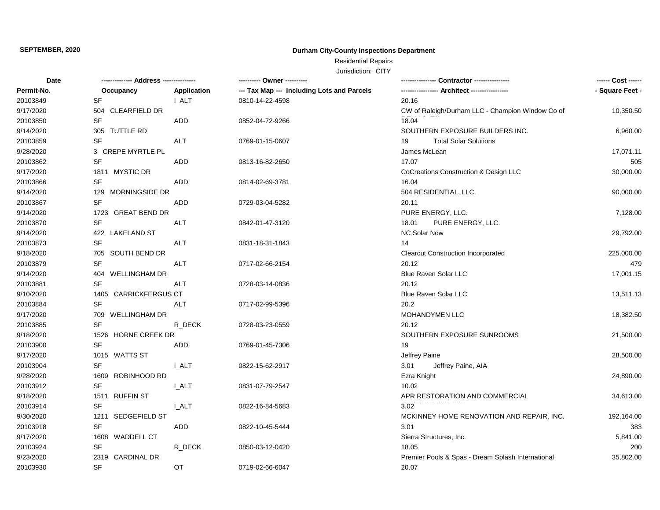# **Durham City-County Inspections Department**

Residential Repairs

| Date       |                            |                    | ---------- Owner ----------                | Contractor ----------------                       | ------ Cost ------ |
|------------|----------------------------|--------------------|--------------------------------------------|---------------------------------------------------|--------------------|
| Permit-No. | Occupancy                  | <b>Application</b> | --- Tax Map --- Including Lots and Parcels |                                                   | - Square Feet -    |
| 20103849   | <b>SF</b>                  | I ALT              | 0810-14-22-4598                            | 20.16                                             |                    |
| 9/17/2020  | 504 CLEARFIELD DR          |                    |                                            | CW of Raleigh/Durham LLC - Champion Window Co of  | 10,350.50          |
| 20103850   | <b>SF</b>                  | ADD                | 0852-04-72-9266                            | 18.04                                             |                    |
| 9/14/2020  | 305 TUTTLE RD              |                    |                                            | SOUTHERN EXPOSURE BUILDERS INC.                   | 6,960.00           |
| 20103859   | <b>SF</b>                  | <b>ALT</b>         | 0769-01-15-0607                            | <b>Total Solar Solutions</b><br>19                |                    |
| 9/28/2020  | 3 CREPE MYRTLE PL          |                    |                                            | James McLean                                      | 17,071.11          |
| 20103862   | <b>SF</b>                  | ADD                | 0813-16-82-2650                            | 17.07                                             | 505                |
| 9/17/2020  | 1811 MYSTIC DR             |                    |                                            | CoCreations Construction & Design LLC             | 30,000.00          |
| 20103866   | <b>SF</b>                  | ADD                | 0814-02-69-3781                            | 16.04                                             |                    |
| 9/14/2020  | MORNINGSIDE DR<br>129      |                    |                                            | 504 RESIDENTIAL, LLC.                             | 90,000.00          |
| 20103867   | <b>SF</b>                  | ADD                | 0729-03-04-5282                            | 20.11                                             |                    |
| 9/14/2020  | 1723 GREAT BEND DR         |                    |                                            | PURE ENERGY, LLC.                                 | 7,128.00           |
| 20103870   | SF                         | <b>ALT</b>         | 0842-01-47-3120                            | 18.01<br>PURE ENERGY, LLC.                        |                    |
| 9/14/2020  | 422 LAKELAND ST            |                    |                                            | <b>NC Solar Now</b>                               | 29,792.00          |
| 20103873   | <b>SF</b>                  | ALT                | 0831-18-31-1843                            | 14                                                |                    |
| 9/18/2020  | 705 SOUTH BEND DR          |                    |                                            | <b>Clearcut Construction Incorporated</b>         | 225,000.00         |
| 20103879   | <b>SF</b>                  | ALT                | 0717-02-66-2154                            | 20.12                                             | 479                |
| 9/14/2020  | 404 WELLINGHAM DR          |                    |                                            | <b>Blue Raven Solar LLC</b>                       | 17,001.15          |
| 20103881   | <b>SF</b>                  | <b>ALT</b>         | 0728-03-14-0836                            | 20.12                                             |                    |
| 9/10/2020  | 1405 CARRICKFERGUS CT      |                    |                                            | <b>Blue Raven Solar LLC</b>                       | 13,511.13          |
| 20103884   | <b>SF</b>                  | <b>ALT</b>         | 0717-02-99-5396                            | 20.2                                              |                    |
| 9/17/2020  | 709 WELLINGHAM DR          |                    |                                            | MOHANDYMEN LLC                                    | 18,382.50          |
| 20103885   | <b>SF</b>                  | R_DECK             | 0728-03-23-0559                            | 20.12                                             |                    |
| 9/18/2020  | 1526 HORNE CREEK DR        |                    |                                            | SOUTHERN EXPOSURE SUNROOMS                        | 21,500.00          |
| 20103900   | <b>SF</b>                  | <b>ADD</b>         | 0769-01-45-7306                            | 19                                                |                    |
| 9/17/2020  | 1015 WATTS ST              |                    |                                            | Jeffrey Paine                                     | 28,500.00          |
| 20103904   | <b>SF</b>                  | <b>L_ALT</b>       | 0822-15-62-2917                            | 3.01<br>Jeffrey Paine, AIA                        |                    |
| 9/28/2020  | ROBINHOOD RD<br>1609       |                    |                                            | Ezra Knight                                       | 24,890.00          |
| 20103912   | <b>SF</b>                  | <b>I_ALT</b>       | 0831-07-79-2547                            | 10.02                                             |                    |
| 9/18/2020  | <b>RUFFIN ST</b><br>1511   |                    |                                            | APR RESTORATION AND COMMERCIAL                    | 34,613.00          |
| 20103914   | <b>SF</b>                  | <b>L_ALT</b>       | 0822-16-84-5683                            | 3.02                                              |                    |
| 9/30/2020  | SEDGEFIELD ST<br>1211      |                    |                                            | MCKINNEY HOME RENOVATION AND REPAIR, INC.         | 192,164.00         |
| 20103918   | <b>SF</b>                  | ADD                | 0822-10-45-5444                            | 3.01                                              | 383                |
| 9/17/2020  | 1608<br><b>WADDELL CT</b>  |                    |                                            | Sierra Structures, Inc.                           | 5,841.00           |
| 20103924   | SF                         | R_DECK             | 0850-03-12-0420                            | 18.05                                             | 200                |
| 9/23/2020  | <b>CARDINAL DR</b><br>2319 |                    |                                            | Premier Pools & Spas - Dream Splash International | 35,802.00          |
| 20103930   | <b>SF</b>                  | OT                 | 0719-02-66-6047                            | 20.07                                             |                    |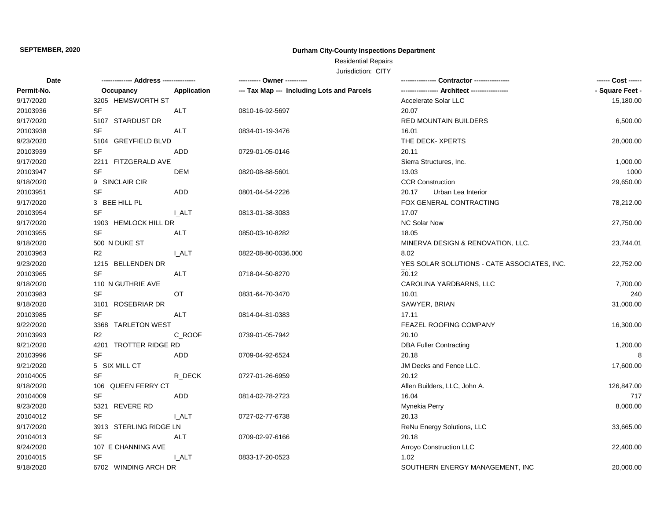# **Durham City-County Inspections Department**

Residential Repairs

| Date       |                                 |                    | ---------- Owner ----------                |                                             | ------ Cost ------ |
|------------|---------------------------------|--------------------|--------------------------------------------|---------------------------------------------|--------------------|
| Permit-No. | Occupancy                       | <b>Application</b> | --- Tax Map --- Including Lots and Parcels |                                             | - Square Feet -    |
| 9/17/2020  | 3205 HEMSWORTH ST               |                    |                                            | Accelerate Solar LLC                        | 15,180.00          |
| 20103936   | <b>SF</b>                       | ALT                | 0810-16-92-5697                            | 20.07                                       |                    |
| 9/17/2020  | 5107 STARDUST DR                |                    |                                            | <b>RED MOUNTAIN BUILDERS</b>                | 6,500.00           |
| 20103938   | <b>SF</b>                       | ALT                | 0834-01-19-3476                            | 16.01                                       |                    |
| 9/23/2020  | <b>GREYFIELD BLVD</b><br>5104   |                    |                                            | THE DECK- XPERTS                            | 28,000.00          |
| 20103939   | SF                              | ADD                | 0729-01-05-0146                            | 20.11                                       |                    |
| 9/17/2020  | 2211<br>FITZGERALD AVE          |                    |                                            | Sierra Structures, Inc.                     | 1,000.00           |
| 20103947   | <b>SF</b>                       | DEM                | 0820-08-88-5601                            | 13.03                                       | 1000               |
| 9/18/2020  | 9 SINCLAIR CIR                  |                    |                                            | <b>CCR Construction</b>                     | 29,650.00          |
| 20103951   | <b>SF</b>                       | ADD                | 0801-04-54-2226                            | 20.17<br>Urban Lea Interior                 |                    |
| 9/17/2020  | 3 BEE HILL PL                   |                    |                                            | FOX GENERAL CONTRACTING                     | 78,212.00          |
| 20103954   | <b>SF</b>                       | I ALT              | 0813-01-38-3083                            | 17.07                                       |                    |
| 9/17/2020  | 1903 HEMLOCK HILL DR            |                    |                                            | <b>NC Solar Now</b>                         | 27,750.00          |
| 20103955   | <b>SF</b>                       | <b>ALT</b>         | 0850-03-10-8282                            | 18.05                                       |                    |
| 9/18/2020  | 500 N DUKE ST                   |                    |                                            | MINERVA DESIGN & RENOVATION, LLC.           | 23,744.01          |
| 20103963   | R <sub>2</sub>                  | I ALT              | 0822-08-80-0036.000                        | 8.02                                        |                    |
| 9/23/2020  | 1215 BELLENDEN DR               |                    |                                            | YES SOLAR SOLUTIONS - CATE ASSOCIATES, INC. | 22,752.00          |
| 20103965   | <b>SF</b>                       | ALT                | 0718-04-50-8270                            | 20.12                                       |                    |
| 9/18/2020  | 110 N GUTHRIE AVE               |                    |                                            | CAROLINA YARDBARNS, LLC                     | 7,700.00           |
| 20103983   | <b>SF</b>                       | ОT                 | 0831-64-70-3470                            | 10.01                                       | 240                |
| 9/18/2020  | <b>ROSEBRIAR DR</b><br>3101     |                    |                                            | SAWYER, BRIAN                               | 31,000.00          |
| 20103985   | <b>SF</b>                       | <b>ALT</b>         | 0814-04-81-0383                            | 17.11                                       |                    |
| 9/22/2020  | 3368<br><b>TARLETON WEST</b>    |                    |                                            | FEAZEL ROOFING COMPANY                      | 16,300.00          |
| 20103993   | R <sub>2</sub>                  | C_ROOF             | 0739-01-05-7942                            | 20.10                                       |                    |
| 9/21/2020  | <b>TROTTER RIDGE RD</b><br>4201 |                    |                                            | <b>DBA Fuller Contracting</b>               | 1,200.00           |
| 20103996   | <b>SF</b>                       | ADD                | 0709-04-92-6524                            | 20.18                                       | 8                  |
| 9/21/2020  | 5 SIX MILL CT                   |                    |                                            | JM Decks and Fence LLC.                     | 17,600.00          |
| 20104005   | <b>SF</b>                       | R_DECK             | 0727-01-26-6959                            | 20.12                                       |                    |
| 9/18/2020  | 106 QUEEN FERRY CT              |                    |                                            | Allen Builders, LLC, John A.                | 126,847.00         |
| 20104009   | <b>SF</b>                       | <b>ADD</b>         | 0814-02-78-2723                            | 16.04                                       | 717                |
| 9/23/2020  | <b>REVERE RD</b><br>5321        |                    |                                            | Mynekia Perry                               | 8,000.00           |
| 20104012   | <b>SF</b>                       | I ALT              | 0727-02-77-6738                            | 20.13                                       |                    |
| 9/17/2020  | 3913 STERLING RIDGE LN          |                    |                                            | ReNu Energy Solutions, LLC                  | 33,665.00          |
| 20104013   | SF                              | <b>ALT</b>         | 0709-02-97-6166                            | 20.18                                       |                    |
| 9/24/2020  | 107 E CHANNING AVE              |                    |                                            | Arroyo Construction LLC                     | 22,400.00          |
| 20104015   | <b>SF</b>                       | I ALT              | 0833-17-20-0523                            | 1.02                                        |                    |
| 9/18/2020  | 6702 WINDING ARCH DR            |                    |                                            | SOUTHERN ENERGY MANAGEMENT, INC             | 20,000.00          |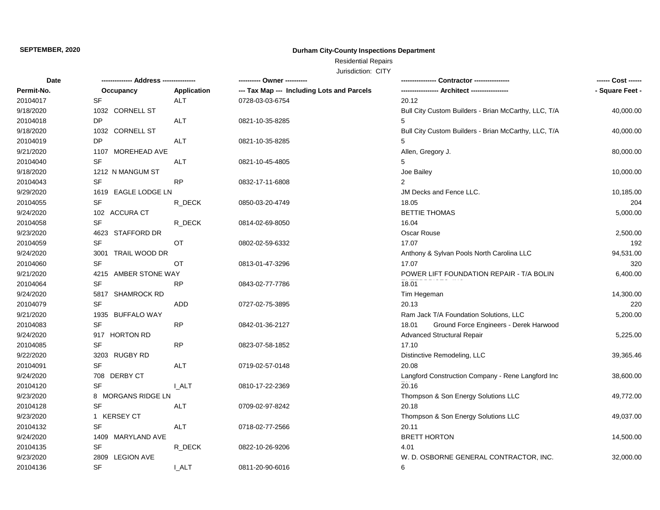# **Durham City-County Inspections Department**

Residential Repairs

| Date       |                           |                    | ---------- Owner ----------                | Contractor ---------------                           | ------ Cost ------ |
|------------|---------------------------|--------------------|--------------------------------------------|------------------------------------------------------|--------------------|
| Permit-No. | Occupancy                 | <b>Application</b> | --- Tax Map --- Including Lots and Parcels | --- Architect ----                                   | - Square Feet -    |
| 20104017   | <b>SF</b>                 | <b>ALT</b>         | 0728-03-03-6754                            | 20.12                                                |                    |
| 9/18/2020  | 1032 CORNELL ST           |                    |                                            | Bull City Custom Builders - Brian McCarthy, LLC, T/A | 40,000.00          |
| 20104018   | DP                        | <b>ALT</b>         | 0821-10-35-8285                            | 5                                                    |                    |
| 9/18/2020  | 1032 CORNELL ST           |                    |                                            | Bull City Custom Builders - Brian McCarthy, LLC, T/A | 40,000.00          |
| 20104019   | DP                        | ALT                | 0821-10-35-8285                            | 5                                                    |                    |
| 9/21/2020  | 1107 MOREHEAD AVE         |                    |                                            | Allen, Gregory J.                                    | 80,000.00          |
| 20104040   | <b>SF</b>                 | ALT                | 0821-10-45-4805                            | 5                                                    |                    |
| 9/18/2020  | 1212 N MANGUM ST          |                    |                                            | Joe Bailey                                           | 10,000.00          |
| 20104043   | SF                        | <b>RP</b>          | 0832-17-11-6808                            | $\overline{2}$                                       |                    |
| 9/29/2020  | 1619 EAGLE LODGE LN       |                    |                                            | JM Decks and Fence LLC.                              | 10,185.00          |
| 20104055   | <b>SF</b>                 | R_DECK             | 0850-03-20-4749                            | 18.05                                                | 204                |
| 9/24/2020  | 102 ACCURA CT             |                    |                                            | <b>BETTIE THOMAS</b>                                 | 5,000.00           |
| 20104058   | <b>SF</b>                 | R_DECK             | 0814-02-69-8050                            | 16.04                                                |                    |
| 9/23/2020  | 4623<br>STAFFORD DR       |                    |                                            | Oscar Rouse                                          | 2,500.00           |
| 20104059   | <b>SF</b>                 | OT                 | 0802-02-59-6332                            | 17.07                                                | 192                |
| 9/24/2020  | 3001<br>TRAIL WOOD DR     |                    |                                            | Anthony & Sylvan Pools North Carolina LLC            | 94,531.00          |
| 20104060   | <b>SF</b>                 | ОT                 | 0813-01-47-3296                            | 17.07                                                | 320                |
| 9/21/2020  | 4215 AMBER STONE WAY      |                    |                                            | POWER LIFT FOUNDATION REPAIR - T/A BOLIN             | 6,400.00           |
| 20104064   | <b>SF</b>                 | <b>RP</b>          | 0843-02-77-7786                            | 18.01                                                |                    |
| 9/24/2020  | 5817 SHAMROCK RD          |                    |                                            | Tim Hegeman                                          | 14,300.00          |
| 20104079   | <b>SF</b>                 | ADD                | 0727-02-75-3895                            | 20.13                                                | 220                |
| 9/21/2020  | 1935 BUFFALO WAY          |                    |                                            | Ram Jack T/A Foundation Solutions, LLC               | 5,200.00           |
| 20104083   | <b>SF</b>                 | <b>RP</b>          | 0842-01-36-2127                            | Ground Force Engineers - Derek Harwood<br>18.01      |                    |
| 9/24/2020  | 917 HORTON RD             |                    |                                            | <b>Advanced Structural Repair</b>                    | 5,225.00           |
| 20104085   | <b>SF</b>                 | <b>RP</b>          | 0823-07-58-1852                            | 17.10                                                |                    |
| 9/22/2020  | 3203 RUGBY RD             |                    |                                            | Distinctive Remodeling, LLC                          | 39,365.46          |
| 20104091   | <b>SF</b>                 | ALT                | 0719-02-57-0148                            | 20.08                                                |                    |
| 9/24/2020  | 708 DERBY CT              |                    |                                            | Langford Construction Company - Rene Langford Inc    | 38,600.00          |
| 20104120   | <b>SF</b>                 | I ALT              | 0810-17-22-2369                            | 20.16                                                |                    |
| 9/23/2020  | 8 MORGANS RIDGE LN        |                    |                                            | Thompson & Son Energy Solutions LLC                  | 49,772.00          |
| 20104128   | <b>SF</b>                 | ALT                | 0709-02-97-8242                            | 20.18                                                |                    |
| 9/23/2020  | 1 KERSEY CT               |                    |                                            | Thompson & Son Energy Solutions LLC                  | 49,037.00          |
| 20104132   | <b>SF</b>                 | ALT                | 0718-02-77-2566                            | 20.11                                                |                    |
| 9/24/2020  | 1409 MARYLAND AVE         |                    |                                            | <b>BRETT HORTON</b>                                  | 14,500.00          |
| 20104135   | <b>SF</b>                 | R_DECK             | 0822-10-26-9206                            | 4.01                                                 |                    |
| 9/23/2020  | <b>LEGION AVE</b><br>2809 |                    |                                            | W. D. OSBORNE GENERAL CONTRACTOR, INC.               | 32,000.00          |
| 20104136   | <b>SF</b>                 | I ALT              | 0811-20-90-6016                            | 6                                                    |                    |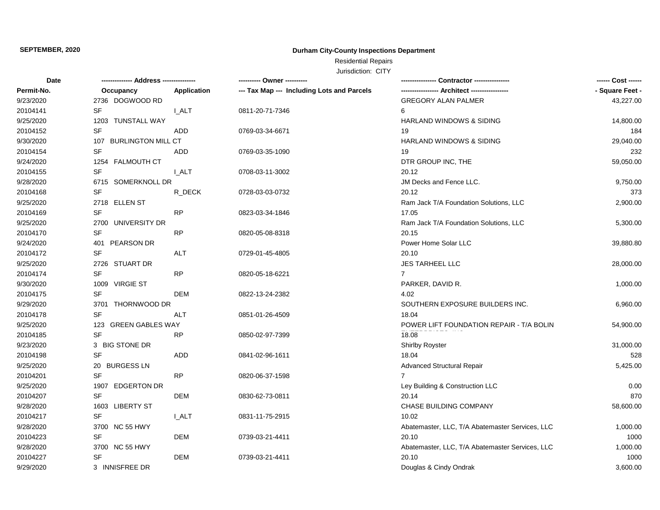# **Durham City-County Inspections Department**

Residential Repairs

| Date       | -------------- Address -------------- |                    | ---------- Owner ----------                | <b>Contractor ---------------</b>               | ------ Cost ------ |
|------------|---------------------------------------|--------------------|--------------------------------------------|-------------------------------------------------|--------------------|
| Permit-No. | Occupancy                             | <b>Application</b> | --- Tax Map --- Including Lots and Parcels | - Architect -------                             | - Square Feet -    |
| 9/23/2020  | 2736 DOGWOOD RD                       |                    |                                            | <b>GREGORY ALAN PALMER</b>                      | 43,227.00          |
| 20104141   | <b>SF</b>                             | <b>LALT</b>        | 0811-20-71-7346                            | 6                                               |                    |
| 9/25/2020  | 1203 TUNSTALL WAY                     |                    |                                            | HARLAND WINDOWS & SIDING                        | 14,800.00          |
| 20104152   | <b>SF</b>                             | <b>ADD</b>         | 0769-03-34-6671                            | 19                                              | 184                |
| 9/30/2020  | 107<br><b>BURLINGTON MILL CT</b>      |                    |                                            | <b>HARLAND WINDOWS &amp; SIDING</b>             | 29,040.00          |
| 20104154   | <b>SF</b>                             | <b>ADD</b>         | 0769-03-35-1090                            | 19                                              | 232                |
| 9/24/2020  | 1254<br><b>FALMOUTH CT</b>            |                    |                                            | DTR GROUP INC, THE                              | 59,050.00          |
| 20104155   | SF                                    | <b>I_ALT</b>       | 0708-03-11-3002                            | 20.12                                           |                    |
| 9/28/2020  | 6715 SOMERKNOLL DR                    |                    |                                            | JM Decks and Fence LLC.                         | 9,750.00           |
| 20104168   | SF                                    | R_DECK             | 0728-03-03-0732                            | 20.12                                           | 373                |
| 9/25/2020  | 2718 ELLEN ST                         |                    |                                            | Ram Jack T/A Foundation Solutions, LLC          | 2,900.00           |
| 20104169   | SF                                    | <b>RP</b>          | 0823-03-34-1846                            | 17.05                                           |                    |
| 9/25/2020  | UNIVERSITY DR<br>2700                 |                    |                                            | Ram Jack T/A Foundation Solutions, LLC          | 5,300.00           |
| 20104170   | <b>SF</b>                             | RP                 | 0820-05-08-8318                            | 20.15                                           |                    |
| 9/24/2020  | 401<br>PEARSON DR                     |                    |                                            | Power Home Solar LLC                            | 39,880.80          |
| 20104172   | <b>SF</b>                             | <b>ALT</b>         | 0729-01-45-4805                            | 20.10                                           |                    |
| 9/25/2020  | 2726 STUART DR                        |                    |                                            | JES TARHEEL LLC                                 | 28,000.00          |
| 20104174   | <b>SF</b>                             | <b>RP</b>          | 0820-05-18-6221                            | $\overline{7}$                                  |                    |
| 9/30/2020  | 1009 VIRGIE ST                        |                    |                                            | PARKER, DAVID R.                                | 1,000.00           |
| 20104175   | <b>SF</b>                             | <b>DEM</b>         | 0822-13-24-2382                            | 4.02                                            |                    |
| 9/29/2020  | 3701 THORNWOOD DR                     |                    |                                            | SOUTHERN EXPOSURE BUILDERS INC.                 | 6,960.00           |
| 20104178   | <b>SF</b>                             | ALT                | 0851-01-26-4509                            | 18.04                                           |                    |
| 9/25/2020  | 123 GREEN GABLES WAY                  |                    |                                            | POWER LIFT FOUNDATION REPAIR - T/A BOLIN        | 54,900.00          |
| 20104185   | <b>SF</b>                             | <b>RP</b>          | 0850-02-97-7399                            | 18.08                                           |                    |
| 9/23/2020  | 3 BIG STONE DR                        |                    |                                            | Shirlby Royster                                 | 31,000.00          |
| 20104198   | SF                                    | ADD                | 0841-02-96-1611                            | 18.04                                           | 528                |
| 9/25/2020  | 20 BURGESS LN                         |                    |                                            | <b>Advanced Structural Repair</b>               | 5,425.00           |
| 20104201   | <b>SF</b>                             | <b>RP</b>          | 0820-06-37-1598                            | $\overline{7}$                                  |                    |
| 9/25/2020  | <b>EDGERTON DR</b><br>1907            |                    |                                            | Ley Building & Construction LLC                 | 0.00               |
| 20104207   | SF                                    | <b>DEM</b>         | 0830-62-73-0811                            | 20.14                                           | 870                |
| 9/28/2020  | 1603<br><b>LIBERTY ST</b>             |                    |                                            | CHASE BUILDING COMPANY                          | 58,600.00          |
| 20104217   | <b>SF</b>                             | <b>I_ALT</b>       | 0831-11-75-2915                            | 10.02                                           |                    |
| 9/28/2020  | 3700 NC 55 HWY                        |                    |                                            | Abatemaster, LLC, T/A Abatemaster Services, LLC | 1,000.00           |
| 20104223   | <b>SF</b>                             | <b>DEM</b>         | 0739-03-21-4411                            | 20.10                                           | 1000               |
| 9/28/2020  | 3700 NC 55 HWY                        |                    |                                            | Abatemaster, LLC, T/A Abatemaster Services, LLC | 1,000.00           |
| 20104227   | <b>SF</b>                             | DEM                | 0739-03-21-4411                            | 20.10                                           | 1000               |
| 9/29/2020  | 3 INNISFREE DR                        |                    |                                            | Douglas & Cindy Ondrak                          | 3,600.00           |